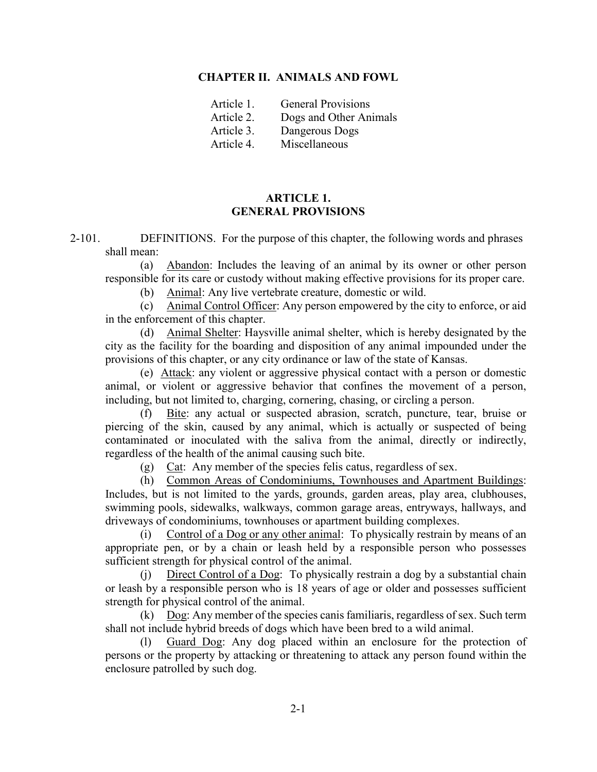#### **CHAPTER II. ANIMALS AND FOWL**

| Article 1. | <b>General Provisions</b> |
|------------|---------------------------|
| Article 2. | Dogs and Other Animals    |
| Article 3. | Dangerous Dogs            |
| Article 4. | Miscellaneous             |

### **ARTICLE 1. GENERAL PROVISIONS**

2-101. DEFINITIONS. For the purpose of this chapter, the following words and phrases shall mean:

(a) Abandon: Includes the leaving of an animal by its owner or other person responsible for its care or custody without making effective provisions for its proper care.

(b) Animal: Any live vertebrate creature, domestic or wild.

(c) Animal Control Officer: Any person empowered by the city to enforce, or aid in the enforcement of this chapter.

(d) Animal Shelter: Haysville animal shelter, which is hereby designated by the city as the facility for the boarding and disposition of any animal impounded under the provisions of this chapter, or any city ordinance or law of the state of Kansas.

(e)Attack: any violent or aggressive physical contact with a person or domestic animal, or violent or aggressive behavior that confines the movement of a person, including, but not limited to, charging, cornering, chasing, or circling a person.

(f) Bite: any actual or suspected abrasion, scratch, puncture, tear, bruise or piercing of the skin, caused by any animal, which is actually or suspected of being contaminated or inoculated with the saliva from the animal, directly or indirectly, regardless of the health of the animal causing such bite.

(g) Cat: Any member of the species felis catus, regardless of sex.

(h) Common Areas of Condominiums, Townhouses and Apartment Buildings: Includes, but is not limited to the yards, grounds, garden areas, play area, clubhouses, swimming pools, sidewalks, walkways, common garage areas, entryways, hallways, and driveways of condominiums, townhouses or apartment building complexes.

(i) Control of a Dog or any other animal: To physically restrain by means of an appropriate pen, or by a chain or leash held by a responsible person who possesses sufficient strength for physical control of the animal.

(j) Direct Control of a Dog: To physically restrain a dog by a substantial chain or leash by a responsible person who is 18 years of age or older and possesses sufficient strength for physical control of the animal.

(k) Dog: Any member of the species canis familiaris, regardless of sex. Such term shall not include hybrid breeds of dogs which have been bred to a wild animal.

(l) Guard Dog: Any dog placed within an enclosure for the protection of persons or the property by attacking or threatening to attack any person found within the enclosure patrolled by such dog.

2-1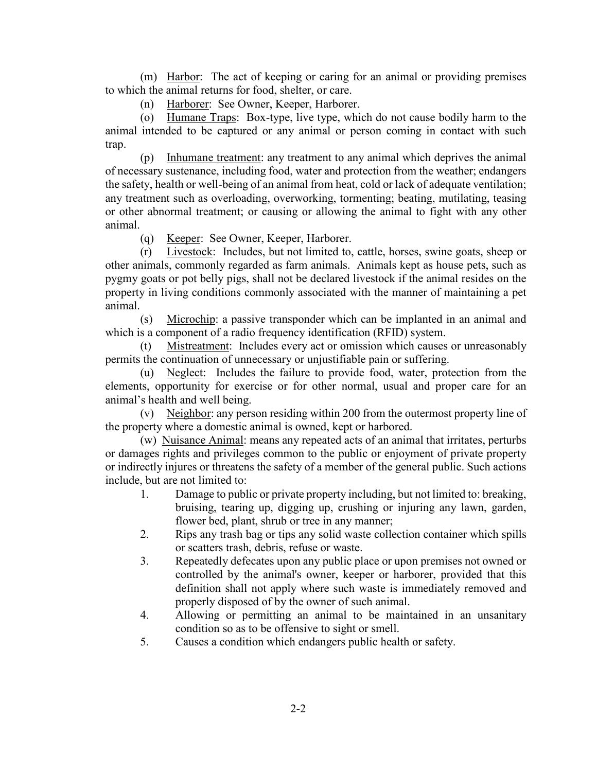(m) Harbor: The act of keeping or caring for an animal or providing premises to which the animal returns for food, shelter, or care.

(n) Harborer: See Owner, Keeper, Harborer.

(o) Humane Traps: Box-type, live type, which do not cause bodily harm to the animal intended to be captured or any animal or person coming in contact with such trap.

(p) Inhumane treatment: any treatment to any animal which deprives the animal of necessary sustenance, including food, water and protection from the weather; endangers the safety, health or well-being of an animal from heat, cold or lack of adequate ventilation; any treatment such as overloading, overworking, tormenting; beating, mutilating, teasing or other abnormal treatment; or causing or allowing the animal to fight with any other animal.

(q) Keeper: See Owner, Keeper, Harborer.

(r) Livestock: Includes, but not limited to, cattle, horses, swine goats, sheep or other animals, commonly regarded as farm animals. Animals kept as house pets, such as pygmy goats or pot belly pigs, shall not be declared livestock if the animal resides on the property in living conditions commonly associated with the manner of maintaining a pet animal.

(s) Microchip: a passive transponder which can be implanted in an animal and which is a component of a radio frequency identification (RFID) system.

(t) Mistreatment: Includes every act or omission which causes or unreasonably permits the continuation of unnecessary or unjustifiable pain or suffering.

Neglect: Includes the failure to provide food, water, protection from the elements, opportunity for exercise or for other normal, usual and proper care for an animal's health and well being.

(v) Neighbor: any person residing within 200 from the outermost property line of the property where a domestic animal is owned, kept or harbored.

(w) Nuisance Animal: means any repeated acts of an animal that irritates, perturbs or damages rights and privileges common to the public or enjoyment of private property or indirectly injures or threatens the safety of a member of the general public. Such actions include, but are not limited to:

- 1. Damage to public or private property including, but not limited to: breaking, bruising, tearing up, digging up, crushing or injuring any lawn, garden, flower bed, plant, shrub or tree in any manner;
- 2. Rips any trash bag or tips any solid waste collection container which spills or scatters trash, debris, refuse or waste.
- 3. Repeatedly defecates upon any public place or upon premises not owned or controlled by the animal's owner, keeper or harborer, provided that this definition shall not apply where such waste is immediately removed and properly disposed of by the owner of such animal.
- 4. Allowing or permitting an animal to be maintained in an unsanitary condition so as to be offensive to sight or smell.
- 5. Causes a condition which endangers public health or safety.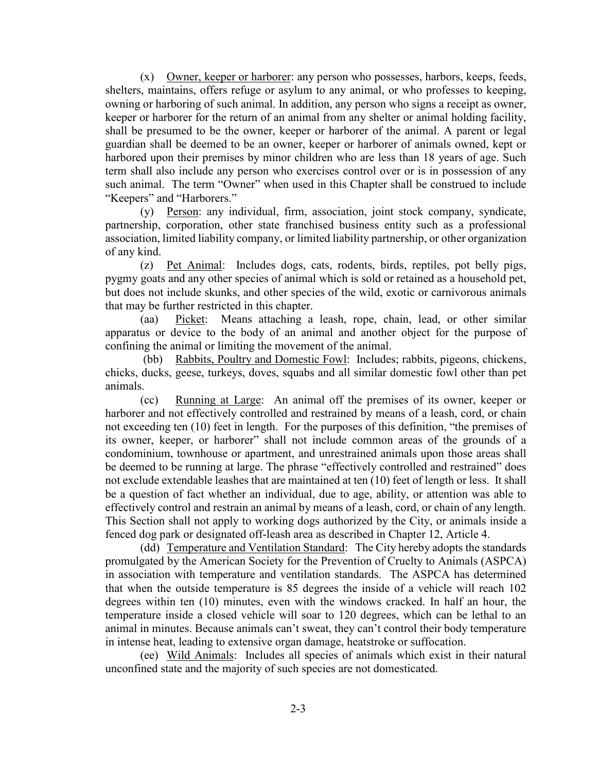(x) Owner, keeper or harborer: any person who possesses, harbors, keeps, feeds, shelters, maintains, offers refuge or asylum to any animal, or who professes to keeping, owning or harboring of such animal. In addition, any person who signs a receipt as owner, keeper or harborer for the return of an animal from any shelter or animal holding facility, shall be presumed to be the owner, keeper or harborer of the animal. A parent or legal guardian shall be deemed to be an owner, keeper or harborer of animals owned, kept or harbored upon their premises by minor children who are less than 18 years of age. Such term shall also include any person who exercises control over or is in possession of any such animal. The term "Owner" when used in this Chapter shall be construed to include "Keepers" and "Harborers."

(y) Person: any individual, firm, association, joint stock company, syndicate, partnership, corporation, other state franchised business entity such as a professional association, limited liability company, or limited liability partnership, or other organization of any kind.

(z) Pet Animal: Includes dogs, cats, rodents, birds, reptiles, pot belly pigs, pygmy goats and any other species of animal which is sold or retained as a household pet, but does not include skunks, and other species of the wild, exotic or carnivorous animals that may be further restricted in this chapter.

(aa) Picket: Means attaching a leash, rope, chain, lead, or other similar apparatus or device to the body of an animal and another object for the purpose of confining the animal or limiting the movement of the animal.

(bb) Rabbits, Poultry and Domestic Fowl: Includes; rabbits, pigeons, chickens, chicks, ducks, geese, turkeys, doves, squabs and all similar domestic fowl other than pet animals.

(cc) Running at Large: An animal off the premises of its owner, keeper or harborer and not effectively controlled and restrained by means of a leash, cord, or chain not exceeding ten (10) feet in length. For the purposes of this definition, "the premises of its owner, keeper, or harborer" shall not include common areas of the grounds of a condominium, townhouse or apartment, and unrestrained animals upon those areas shall be deemed to be running at large. The phrase "effectively controlled and restrained" does not exclude extendable leashes that are maintained at ten (10) feet of length or less. It shall be a question of fact whether an individual, due to age, ability, or attention was able to effectively control and restrain an animal by means of a leash, cord, or chain of any length. This Section shall not apply to working dogs authorized by the City, or animals inside a fenced dog park or designated off-leash area as described in Chapter 12, Article 4.

(dd) Temperature and Ventilation Standard: The City hereby adopts the standards promulgated by the American Society for the Prevention of Cruelty to Animals (ASPCA) in association with temperature and ventilation standards. The ASPCA has determined that when the outside temperature is 85 degrees the inside of a vehicle will reach 102 degrees within ten (10) minutes, even with the windows cracked. In half an hour, the temperature inside a closed vehicle will soar to 120 degrees, which can be lethal to an animal in minutes. Because animals can't sweat, they can't control their body temperature in intense heat, leading to extensive organ damage, heatstroke or suffocation.

(ee) Wild Animals: Includes all species of animals which exist in their natural unconfined state and the majority of such species are not domesticated.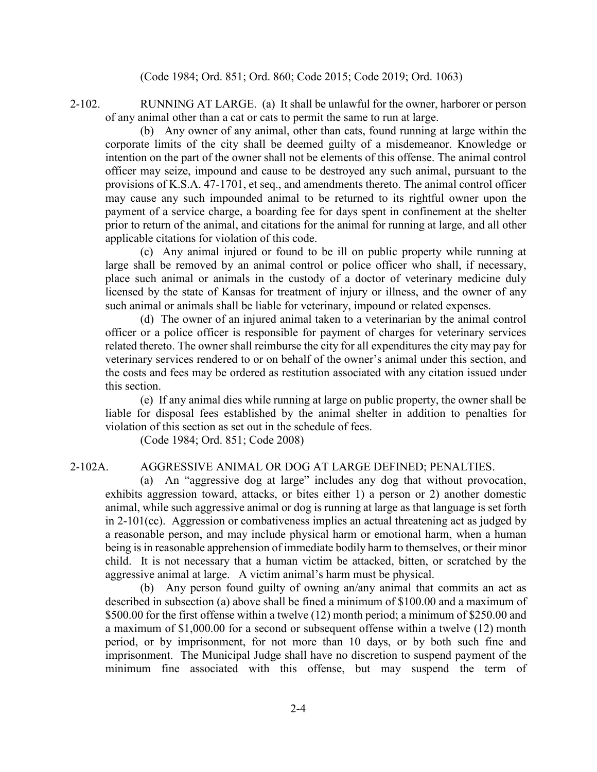(Code 1984; Ord. 851; Ord. 860; Code 2015; Code 2019; Ord. 1063)

2-102. RUNNING AT LARGE. (a) It shall be unlawful for the owner, harborer or person of any animal other than a cat or cats to permit the same to run at large.

(b) Any owner of any animal, other than cats, found running at large within the corporate limits of the city shall be deemed guilty of a misdemeanor. Knowledge or intention on the part of the owner shall not be elements of this offense. The animal control officer may seize, impound and cause to be destroyed any such animal, pursuant to the provisions of K.S.A. 47-1701, et seq., and amendments thereto. The animal control officer may cause any such impounded animal to be returned to its rightful owner upon the payment of a service charge, a boarding fee for days spent in confinement at the shelter prior to return of the animal, and citations for the animal for running at large, and all other applicable citations for violation of this code.

(c)Any animal injured or found to be ill on public property while running at large shall be removed by an animal control or police officer who shall, if necessary, place such animal or animals in the custody of a doctor of veterinary medicine duly licensed by the state of Kansas for treatment of injury or illness, and the owner of any such animal or animals shall be liable for veterinary, impound or related expenses.

(d) The owner of an injured animal taken to a veterinarian by the animal control officer or a police officer is responsible for payment of charges for veterinary services related thereto. The owner shall reimburse the city for all expenditures the city may pay for veterinary services rendered to or on behalf of the owner's animal under this section, and the costs and fees may be ordered as restitution associated with any citation issued under this section.

(e) If any animal dies while running at large on public property, the owner shall be liable for disposal fees established by the animal shelter in addition to penalties for violation of this section as set out in the schedule of fees.

(Code 1984; Ord. 851; Code 2008)

# 2-102A. AGGRESSIVE ANIMAL OR DOG AT LARGE DEFINED; PENALTIES.

(a) An "aggressive dog at large" includes any dog that without provocation, exhibits aggression toward, attacks, or bites either 1) a person or 2) another domestic animal, while such aggressive animal or dog is running at large as that language is set forth in 2-101(cc). Aggression or combativeness implies an actual threatening act as judged by a reasonable person, and may include physical harm or emotional harm, when a human being is in reasonable apprehension of immediate bodily harm to themselves, or their minor child. It is not necessary that a human victim be attacked, bitten, or scratched by the aggressive animal at large. A victim animal's harm must be physical.

(b) Any person found guilty of owning an/any animal that commits an act as described in subsection (a) above shall be fined a minimum of \$100.00 and a maximum of \$500.00 for the first offense within a twelve (12) month period; a minimum of \$250.00 and a maximum of \$1,000.00 for a second or subsequent offense within a twelve (12) month period, or by imprisonment, for not more than 10 days, or by both such fine and imprisonment. The Municipal Judge shall have no discretion to suspend payment of the minimum fine associated with this offense, but may suspend the term of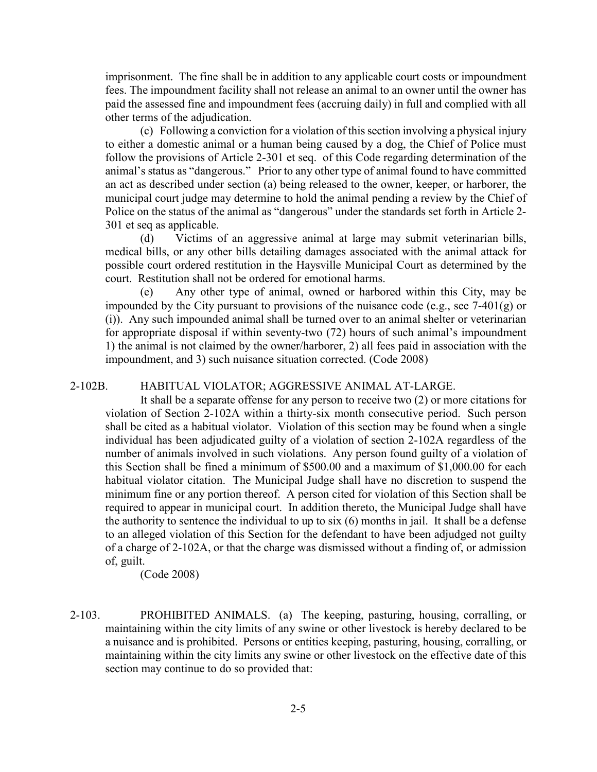imprisonment. The fine shall be in addition to any applicable court costs or impoundment fees. The impoundment facility shall not release an animal to an owner until the owner has paid the assessed fine and impoundment fees (accruing daily) in full and complied with all other terms of the adjudication.

(c) Following a conviction for a violation of this section involving a physical injury to either a domestic animal or a human being caused by a dog, the Chief of Police must follow the provisions of Article 2-301 et seq. of this Code regarding determination of the animal's status as "dangerous." Prior to any other type of animal found to have committed an act as described under section (a) being released to the owner, keeper, or harborer, the municipal court judge may determine to hold the animal pending a review by the Chief of Police on the status of the animal as "dangerous" under the standards set forth in Article 2- 301 et seq as applicable.

(d) Victims of an aggressive animal at large may submit veterinarian bills, medical bills, or any other bills detailing damages associated with the animal attack for possible court ordered restitution in the Haysville Municipal Court as determined by the court. Restitution shall not be ordered for emotional harms.

(e) Any other type of animal, owned or harbored within this City, may be impounded by the City pursuant to provisions of the nuisance code (e.g., see  $7-401(g)$  or (i)). Any such impounded animal shall be turned over to an animal shelter or veterinarian for appropriate disposal if within seventy-two (72) hours of such animal's impoundment 1) the animal is not claimed by the owner/harborer, 2) all fees paid in association with the impoundment, and 3) such nuisance situation corrected. (Code 2008)

### 2-102B. HABITUAL VIOLATOR; AGGRESSIVE ANIMAL AT-LARGE.

It shall be a separate offense for any person to receive two (2) or more citations for violation of Section 2-102A within a thirty-six month consecutive period. Such person shall be cited as a habitual violator. Violation of this section may be found when a single individual has been adjudicated guilty of a violation of section 2-102A regardless of the number of animals involved in such violations. Any person found guilty of a violation of this Section shall be fined a minimum of \$500.00 and a maximum of \$1,000.00 for each habitual violator citation. The Municipal Judge shall have no discretion to suspend the minimum fine or any portion thereof. A person cited for violation of this Section shall be required to appear in municipal court. In addition thereto, the Municipal Judge shall have the authority to sentence the individual to up to six (6) months in jail. It shall be a defense to an alleged violation of this Section for the defendant to have been adjudged not guilty of a charge of 2-102A, or that the charge was dismissed without a finding of, or admission of, guilt.

(Code 2008)

2-103. PROHIBITED ANIMALS. (a) The keeping, pasturing, housing, corralling, or maintaining within the city limits of any swine or other livestock is hereby declared to be a nuisance and is prohibited. Persons or entities keeping, pasturing, housing, corralling, or maintaining within the city limits any swine or other livestock on the effective date of this section may continue to do so provided that: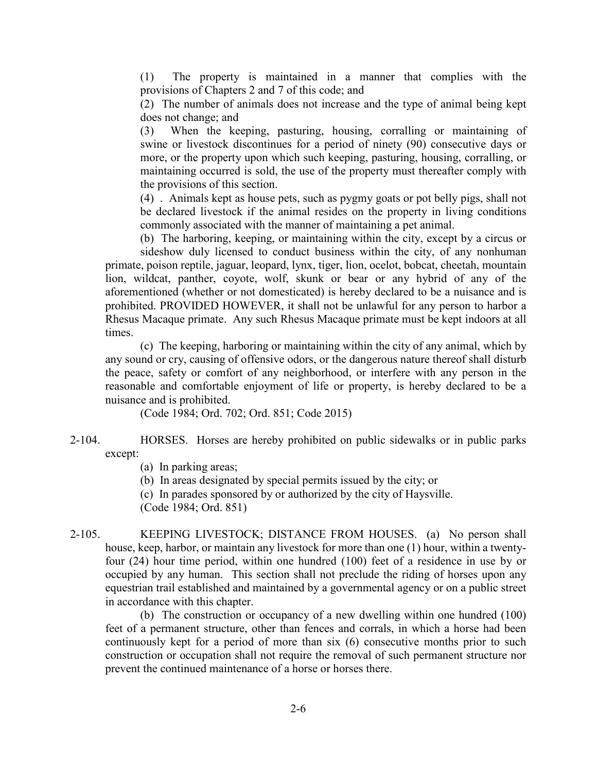(1) The property is maintained in a manner that complies with the provisions of Chapters 2 and 7 of this code; and

(2) The number of animals does not increase and the type of animal being kept does not change; and

(3) When the keeping, pasturing, housing, corralling or maintaining of swine or livestock discontinues for a period of ninety (90) consecutive days or more, or the property upon which such keeping, pasturing, housing, corralling, or maintaining occurred is sold, the use of the property must thereafter comply with the provisions of this section.

(4) . Animals kept as house pets, such as pygmy goats or pot belly pigs, shall not be declared livestock if the animal resides on the property in living conditions commonly associated with the manner of maintaining a pet animal.

(b) The harboring, keeping, or maintaining within the city, except by a circus or sideshow duly licensed to conduct business within the city, of any nonhuman primate, poison reptile, jaguar, leopard, lynx, tiger, lion, ocelot, bobcat, cheetah, mountain lion, wildcat, panther, coyote, wolf, skunk or bear or any hybrid of any of the aforementioned (whether or not domesticated) is hereby declared to be a nuisance and is prohibited. PROVIDED HOWEVER, it shall not be unlawful for any person to harbor a Rhesus Macaque primate. Any such Rhesus Macaque primate must be kept indoors at all times.

(c) The keeping, harboring or maintaining within the city of any animal, which by any sound or cry, causing of offensive odors, or the dangerous nature thereof shall disturb the peace, safety or comfort of any neighborhood, or interfere with any person in the reasonable and comfortable enjoyment of life or property, is hereby declared to be a nuisance and is prohibited.

(Code 1984; Ord. 702; Ord. 851; Code 2015)

2-104. HORSES. Horses are hereby prohibited on public sidewalks or in public parks except:

(a) In parking areas;

(b) In areas designated by special permits issued by the city; or

(c) In parades sponsored by or authorized by the city of Haysville.

(Code 1984; Ord. 851)

2-105. KEEPING LIVESTOCK; DISTANCE FROM HOUSES. (a) No person shall house, keep, harbor, or maintain any livestock for more than one (1) hour, within a twentyfour (24) hour time period, within one hundred (100) feet of a residence in use by or occupied by any human. This section shall not preclude the riding of horses upon any equestrian trail established and maintained by a governmental agency or on a public street in accordance with this chapter.

(b) The construction or occupancy of a new dwelling within one hundred (100) feet of a permanent structure, other than fences and corrals, in which a horse had been continuously kept for a period of more than six (6) consecutive months prior to such construction or occupation shall not require the removal of such permanent structure nor prevent the continued maintenance of a horse or horses there.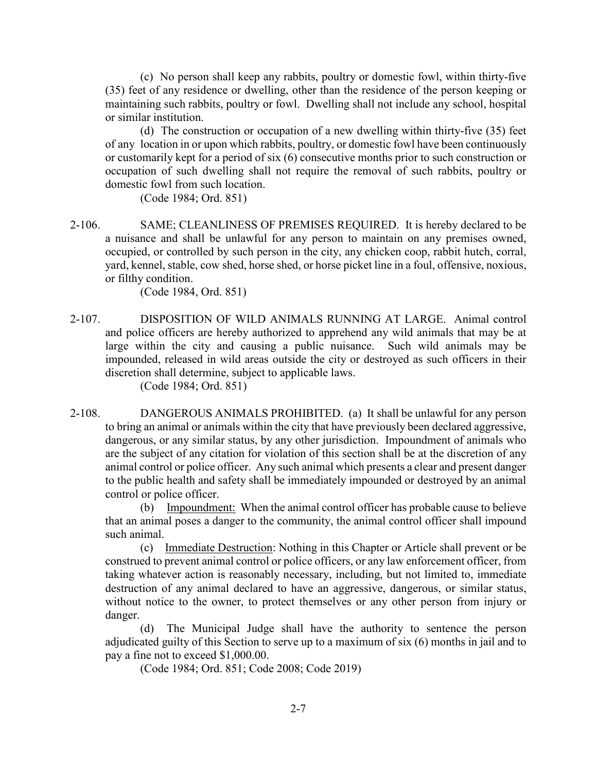(c) No person shall keep any rabbits, poultry or domestic fowl, within thirty-five (35) feet of any residence or dwelling, other than the residence of the person keeping or maintaining such rabbits, poultry or fowl. Dwelling shall not include any school, hospital or similar institution.

(d) The construction or occupation of a new dwelling within thirty-five (35) feet of any location in or upon which rabbits, poultry, or domestic fowl have been continuously or customarily kept for a period of six (6) consecutive months prior to such construction or occupation of such dwelling shall not require the removal of such rabbits, poultry or domestic fowl from such location.

(Code 1984; Ord. 851)

2-106. SAME; CLEANLINESS OF PREMISES REQUIRED. It is hereby declared to be a nuisance and shall be unlawful for any person to maintain on any premises owned, occupied, or controlled by such person in the city, any chicken coop, rabbit hutch, corral, yard, kennel, stable, cow shed, horse shed, or horse picket line in a foul, offensive, noxious, or filthy condition.

(Code 1984, Ord. 851)

2-107. DISPOSITION OF WILD ANIMALS RUNNING AT LARGE. Animal control and police officers are hereby authorized to apprehend any wild animals that may be at large within the city and causing a public nuisance. Such wild animals may be impounded, released in wild areas outside the city or destroyed as such officers in their discretion shall determine, subject to applicable laws.

(Code 1984; Ord. 851)

2-108. DANGEROUS ANIMALS PROHIBITED. (a) It shall be unlawful for any person to bring an animal or animals within the city that have previously been declared aggressive, dangerous, or any similar status, by any other jurisdiction. Impoundment of animals who are the subject of any citation for violation of this section shall be at the discretion of any animal control or police officer. Any such animal which presents a clear and present danger to the public health and safety shall be immediately impounded or destroyed by an animal control or police officer.

(b) Impoundment: When the animal control officer has probable cause to believe that an animal poses a danger to the community, the animal control officer shall impound such animal.

(c) Immediate Destruction: Nothing in this Chapter or Article shall prevent or be construed to prevent animal control or police officers, or any law enforcement officer, from taking whatever action is reasonably necessary, including, but not limited to, immediate destruction of any animal declared to have an aggressive, dangerous, or similar status, without notice to the owner, to protect themselves or any other person from injury or danger.

(d) The Municipal Judge shall have the authority to sentence the person adjudicated guilty of this Section to serve up to a maximum of six (6) months in jail and to pay a fine not to exceed \$1,000.00.

(Code 1984; Ord. 851; Code 2008; Code 2019)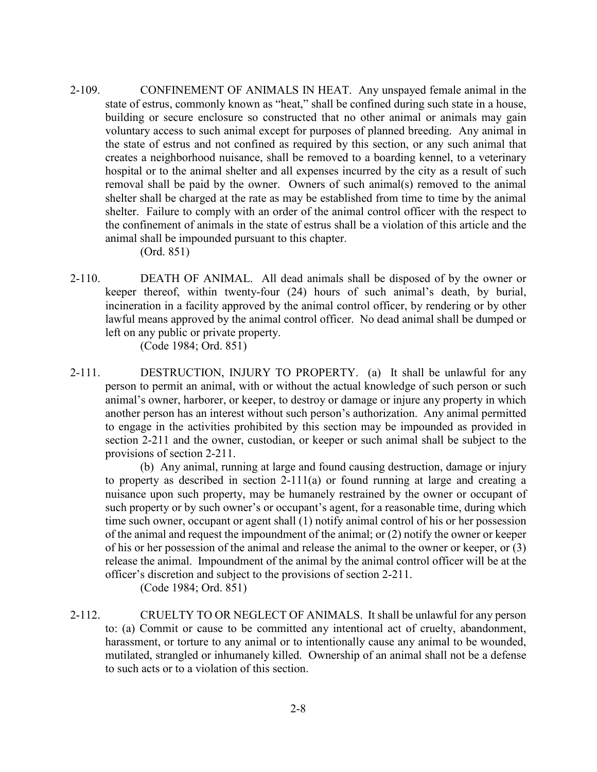2-109. CONFINEMENT OF ANIMALS IN HEAT. Any unspayed female animal in the state of estrus, commonly known as "heat," shall be confined during such state in a house, building or secure enclosure so constructed that no other animal or animals may gain voluntary access to such animal except for purposes of planned breeding. Any animal in the state of estrus and not confined as required by this section, or any such animal that creates a neighborhood nuisance, shall be removed to a boarding kennel, to a veterinary hospital or to the animal shelter and all expenses incurred by the city as a result of such removal shall be paid by the owner. Owners of such animal(s) removed to the animal shelter shall be charged at the rate as may be established from time to time by the animal shelter. Failure to comply with an order of the animal control officer with the respect to the confinement of animals in the state of estrus shall be a violation of this article and the animal shall be impounded pursuant to this chapter.

(Ord. 851)

2-110. DEATH OF ANIMAL. All dead animals shall be disposed of by the owner or keeper thereof, within twenty-four (24) hours of such animal's death, by burial, incineration in a facility approved by the animal control officer, by rendering or by other lawful means approved by the animal control officer. No dead animal shall be dumped or left on any public or private property.

(Code 1984; Ord. 851)

2-111. DESTRUCTION, INJURY TO PROPERTY. (a) It shall be unlawful for any person to permit an animal, with or without the actual knowledge of such person or such animal's owner, harborer, or keeper, to destroy or damage or injure any property in which another person has an interest without such person's authorization. Any animal permitted to engage in the activities prohibited by this section may be impounded as provided in section 2-211 and the owner, custodian, or keeper or such animal shall be subject to the provisions of section 2-211.

(b) Any animal, running at large and found causing destruction, damage or injury to property as described in section 2-111(a) or found running at large and creating a nuisance upon such property, may be humanely restrained by the owner or occupant of such property or by such owner's or occupant's agent, for a reasonable time, during which time such owner, occupant or agent shall (1) notify animal control of his or her possession of the animal and request the impoundment of the animal; or (2) notify the owner or keeper of his or her possession of the animal and release the animal to the owner or keeper, or (3) release the animal. Impoundment of the animal by the animal control officer will be at the officer's discretion and subject to the provisions of section 2-211.

(Code 1984; Ord. 851)

2-112. CRUELTY TO OR NEGLECT OF ANIMALS. It shall be unlawful for any person to: (a) Commit or cause to be committed any intentional act of cruelty, abandonment, harassment, or torture to any animal or to intentionally cause any animal to be wounded, mutilated, strangled or inhumanely killed. Ownership of an animal shall not be a defense to such acts or to a violation of this section.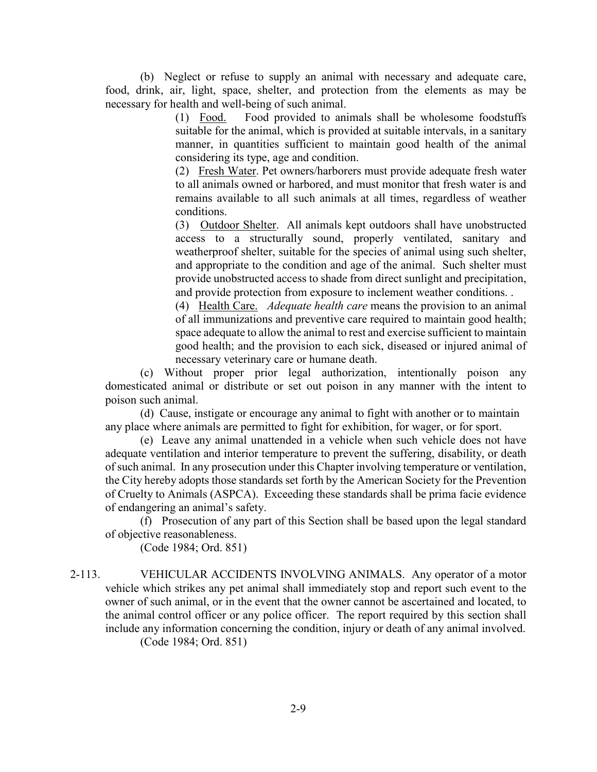(b) Neglect or refuse to supply an animal with necessary and adequate care, food, drink, air, light, space, shelter, and protection from the elements as may be necessary for health and well-being of such animal.

> (1) Food. Food provided to animals shall be wholesome foodstuffs suitable for the animal, which is provided at suitable intervals, in a sanitary manner, in quantities sufficient to maintain good health of the animal considering its type, age and condition.

> (2) Fresh Water. Pet owners/harborers must provide adequate fresh water to all animals owned or harbored, and must monitor that fresh water is and remains available to all such animals at all times, regardless of weather conditions.

> (3) Outdoor Shelter. All animals kept outdoors shall have unobstructed access to a structurally sound, properly ventilated, sanitary and weatherproof shelter, suitable for the species of animal using such shelter, and appropriate to the condition and age of the animal. Such shelter must provide unobstructed access to shade from direct sunlight and precipitation, and provide protection from exposure to inclement weather conditions. .

> (4) Health Care. *Adequate health care* means the provision to an animal of all immunizations and preventive care required to maintain good health; space adequate to allow the animal to rest and exercise sufficient to maintain good health; and the provision to each sick, diseased or injured animal of necessary veterinary care or humane death.

(c) Without proper prior legal authorization, intentionally poison any domesticated animal or distribute or set out poison in any manner with the intent to poison such animal.

(d) Cause, instigate or encourage any animal to fight with another or to maintain any place where animals are permitted to fight for exhibition, for wager, or for sport.

(e) Leave any animal unattended in a vehicle when such vehicle does not have adequate ventilation and interior temperature to prevent the suffering, disability, or death of such animal. In any prosecution under this Chapter involving temperature or ventilation, the City hereby adopts those standards set forth by the American Society for the Prevention of Cruelty to Animals (ASPCA). Exceeding these standards shall be prima facie evidence of endangering an animal's safety.

(f) Prosecution of any part of this Section shall be based upon the legal standard of objective reasonableness.

(Code 1984; Ord. 851)

2-113. VEHICULAR ACCIDENTS INVOLVING ANIMALS. Any operator of a motor vehicle which strikes any pet animal shall immediately stop and report such event to the owner of such animal, or in the event that the owner cannot be ascertained and located, to the animal control officer or any police officer. The report required by this section shall include any information concerning the condition, injury or death of any animal involved.

(Code 1984; Ord. 851)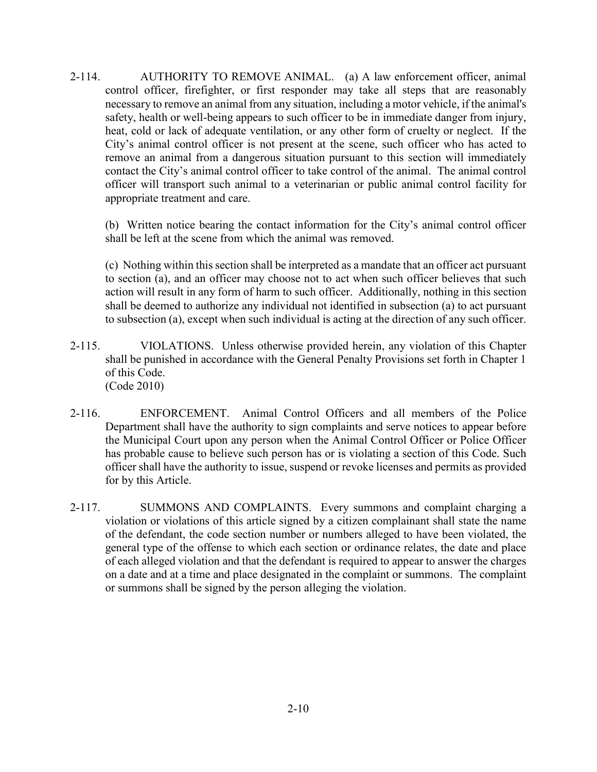2-114. AUTHORITY TO REMOVE ANIMAL. (a) A law enforcement officer, animal control officer, firefighter, or first responder may take all steps that are reasonably necessary to remove an animal from any situation, including a motor vehicle, if the animal's safety, health or well-being appears to such officer to be in immediate danger from injury, heat, cold or lack of adequate ventilation, or any other form of cruelty or neglect. If the City's animal control officer is not present at the scene, such officer who has acted to remove an animal from a dangerous situation pursuant to this section will immediately contact the City's animal control officer to take control of the animal. The animal control officer will transport such animal to a veterinarian or public animal control facility for appropriate treatment and care.

(b) Written notice bearing the contact information for the City's animal control officer shall be left at the scene from which the animal was removed.

(c) Nothing within this section shall be interpreted as a mandate that an officer act pursuant to section (a), and an officer may choose not to act when such officer believes that such action will result in any form of harm to such officer. Additionally, nothing in this section shall be deemed to authorize any individual not identified in subsection (a) to act pursuant to subsection (a), except when such individual is acting at the direction of any such officer.

- 2-115. VIOLATIONS. Unless otherwise provided herein, any violation of this Chapter shall be punished in accordance with the General Penalty Provisions set forth in Chapter 1 of this Code. (Code 2010)
- 2-116. ENFORCEMENT. Animal Control Officers and all members of the Police Department shall have the authority to sign complaints and serve notices to appear before the Municipal Court upon any person when the Animal Control Officer or Police Officer has probable cause to believe such person has or is violating a section of this Code. Such officer shall have the authority to issue, suspend or revoke licenses and permits as provided for by this Article.
- 2-117. SUMMONS AND COMPLAINTS. Every summons and complaint charging a violation or violations of this article signed by a citizen complainant shall state the name of the defendant, the code section number or numbers alleged to have been violated, the general type of the offense to which each section or ordinance relates, the date and place of each alleged violation and that the defendant is required to appear to answer the charges on a date and at a time and place designated in the complaint or summons. The complaint or summons shall be signed by the person alleging the violation.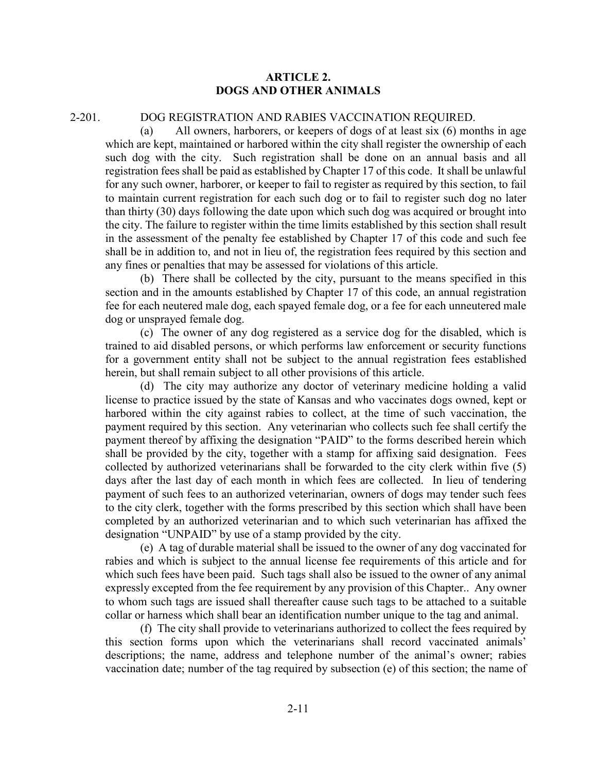### **ARTICLE 2. DOGS AND OTHER ANIMALS**

#### 2-201. DOG REGISTRATION AND RABIES VACCINATION REQUIRED.

(a) All owners, harborers, or keepers of dogs of at least six (6) months in age which are kept, maintained or harbored within the city shall register the ownership of each such dog with the city. Such registration shall be done on an annual basis and all registration fees shall be paid as established by Chapter 17 of this code. It shall be unlawful for any such owner, harborer, or keeper to fail to register as required by this section, to fail to maintain current registration for each such dog or to fail to register such dog no later than thirty (30) days following the date upon which such dog was acquired or brought into the city. The failure to register within the time limits established by this section shall result in the assessment of the penalty fee established by Chapter 17 of this code and such fee shall be in addition to, and not in lieu of, the registration fees required by this section and any fines or penalties that may be assessed for violations of this article.

(b) There shall be collected by the city, pursuant to the means specified in this section and in the amounts established by Chapter 17 of this code, an annual registration fee for each neutered male dog, each spayed female dog, or a fee for each unneutered male dog or unsprayed female dog.

(c) The owner of any dog registered as a service dog for the disabled, which is trained to aid disabled persons, or which performs law enforcement or security functions for a government entity shall not be subject to the annual registration fees established herein, but shall remain subject to all other provisions of this article.

(d) The city may authorize any doctor of veterinary medicine holding a valid license to practice issued by the state of Kansas and who vaccinates dogs owned, kept or harbored within the city against rabies to collect, at the time of such vaccination, the payment required by this section. Any veterinarian who collects such fee shall certify the payment thereof by affixing the designation "PAID" to the forms described herein which shall be provided by the city, together with a stamp for affixing said designation. Fees collected by authorized veterinarians shall be forwarded to the city clerk within five (5) days after the last day of each month in which fees are collected. In lieu of tendering payment of such fees to an authorized veterinarian, owners of dogs may tender such fees to the city clerk, together with the forms prescribed by this section which shall have been completed by an authorized veterinarian and to which such veterinarian has affixed the designation "UNPAID" by use of a stamp provided by the city.

(e) A tag of durable material shall be issued to the owner of any dog vaccinated for rabies and which is subject to the annual license fee requirements of this article and for which such fees have been paid. Such tags shall also be issued to the owner of any animal expressly excepted from the fee requirement by any provision of this Chapter.. Any owner to whom such tags are issued shall thereafter cause such tags to be attached to a suitable collar or harness which shall bear an identification number unique to the tag and animal.

(f) The city shall provide to veterinarians authorized to collect the fees required by this section forms upon which the veterinarians shall record vaccinated animals' descriptions; the name, address and telephone number of the animal's owner; rabies vaccination date; number of the tag required by subsection (e) of this section; the name of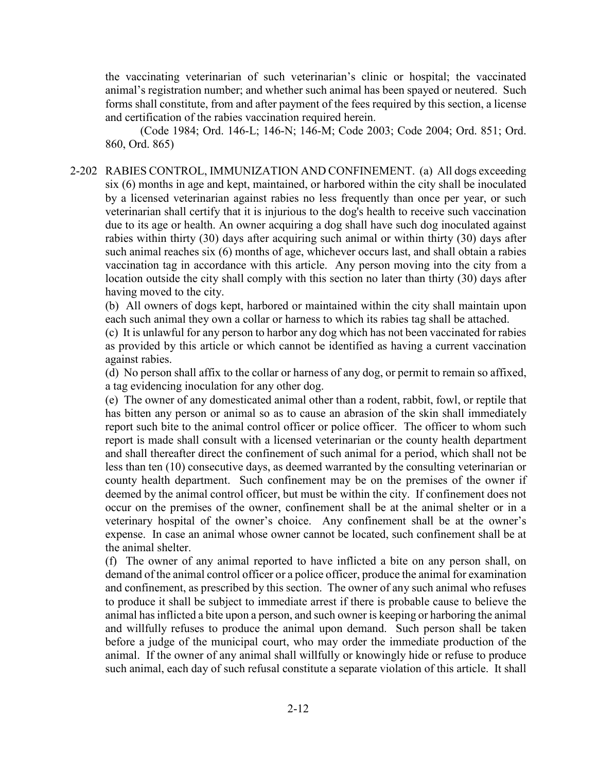the vaccinating veterinarian of such veterinarian's clinic or hospital; the vaccinated animal's registration number; and whether such animal has been spayed or neutered. Such forms shall constitute, from and after payment of the fees required by this section, a license and certification of the rabies vaccination required herein.

(Code 1984; Ord. 146-L; 146-N; 146-M; Code 2003; Code 2004; Ord. 851; Ord. 860, Ord. 865)

2-202 RABIES CONTROL, IMMUNIZATION AND CONFINEMENT. (a) All dogs exceeding six (6) months in age and kept, maintained, or harbored within the city shall be inoculated by a licensed veterinarian against rabies no less frequently than once per year, or such veterinarian shall certify that it is injurious to the dog's health to receive such vaccination due to its age or health. An owner acquiring a dog shall have such dog inoculated against rabies within thirty (30) days after acquiring such animal or within thirty (30) days after such animal reaches six (6) months of age, whichever occurs last, and shall obtain a rabies vaccination tag in accordance with this article. Any person moving into the city from a location outside the city shall comply with this section no later than thirty (30) days after having moved to the city.

(b) All owners of dogs kept, harbored or maintained within the city shall maintain upon each such animal they own a collar or harness to which its rabies tag shall be attached.

(c) It is unlawful for any person to harbor any dog which has not been vaccinated for rabies as provided by this article or which cannot be identified as having a current vaccination against rabies.

(d) No person shall affix to the collar or harness of any dog, or permit to remain so affixed, a tag evidencing inoculation for any other dog.

(e) The owner of any domesticated animal other than a rodent, rabbit, fowl, or reptile that has bitten any person or animal so as to cause an abrasion of the skin shall immediately report such bite to the animal control officer or police officer. The officer to whom such report is made shall consult with a licensed veterinarian or the county health department and shall thereafter direct the confinement of such animal for a period, which shall not be less than ten (10) consecutive days, as deemed warranted by the consulting veterinarian or county health department. Such confinement may be on the premises of the owner if deemed by the animal control officer, but must be within the city. If confinement does not occur on the premises of the owner, confinement shall be at the animal shelter or in a veterinary hospital of the owner's choice. Any confinement shall be at the owner's expense. In case an animal whose owner cannot be located, such confinement shall be at the animal shelter.

(f) The owner of any animal reported to have inflicted a bite on any person shall, on demand of the animal control officer or a police officer, produce the animal for examination and confinement, as prescribed by this section. The owner of any such animal who refuses to produce it shall be subject to immediate arrest if there is probable cause to believe the animal has inflicted a bite upon a person, and such owner is keeping or harboring the animal and willfully refuses to produce the animal upon demand. Such person shall be taken before a judge of the municipal court, who may order the immediate production of the animal. If the owner of any animal shall willfully or knowingly hide or refuse to produce such animal, each day of such refusal constitute a separate violation of this article. It shall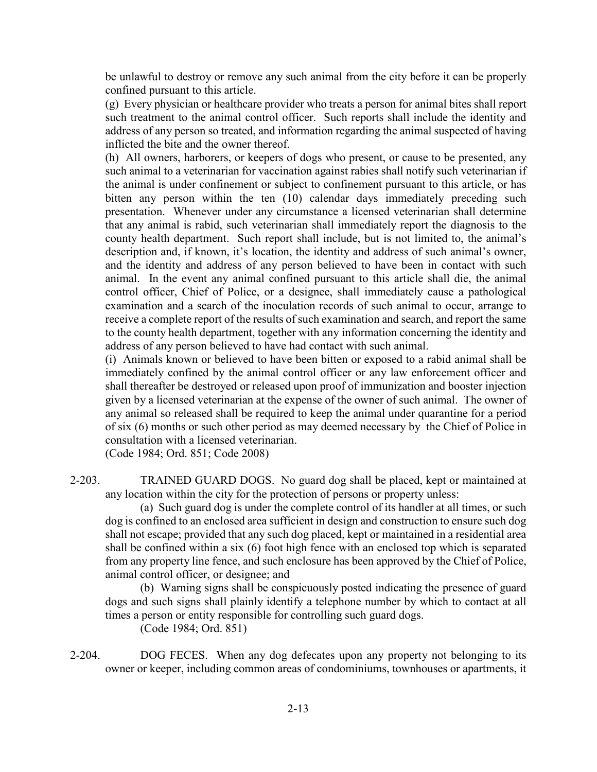be unlawful to destroy or remove any such animal from the city before it can be properly confined pursuant to this article.

(g) Every physician or healthcare provider who treats a person for animal bites shall report such treatment to the animal control officer. Such reports shall include the identity and address of any person so treated, and information regarding the animal suspected of having inflicted the bite and the owner thereof.

(h) All owners, harborers, or keepers of dogs who present, or cause to be presented, any such animal to a veterinarian for vaccination against rabies shall notify such veterinarian if the animal is under confinement or subject to confinement pursuant to this article, or has bitten any person within the ten (10) calendar days immediately preceding such presentation. Whenever under any circumstance a licensed veterinarian shall determine that any animal is rabid, such veterinarian shall immediately report the diagnosis to the county health department. Such report shall include, but is not limited to, the animal's description and, if known, it's location, the identity and address of such animal's owner, and the identity and address of any person believed to have been in contact with such animal. In the event any animal confined pursuant to this article shall die, the animal control officer, Chief of Police, or a designee, shall immediately cause a pathological examination and a search of the inoculation records of such animal to occur, arrange to receive a complete report of the results of such examination and search, and report the same to the county health department, together with any information concerning the identity and address of any person believed to have had contact with such animal.

(i) Animals known or believed to have been bitten or exposed to a rabid animal shall be immediately confined by the animal control officer or any law enforcement officer and shall thereafter be destroyed or released upon proof of immunization and booster injection given by a licensed veterinarian at the expense of the owner of such animal. The owner of any animal so released shall be required to keep the animal under quarantine for a period of six (6) months or such other period as may deemed necessary by the Chief of Police in consultation with a licensed veterinarian.

(Code 1984; Ord. 851; Code 2008)

2-203. TRAINED GUARD DOGS. No guard dog shall be placed, kept or maintained at any location within the city for the protection of persons or property unless:

(a) Such guard dog is under the complete control of its handler at all times, or such dog is confined to an enclosed area sufficient in design and construction to ensure such dog shall not escape; provided that any such dog placed, kept or maintained in a residential area shall be confined within a six (6) foot high fence with an enclosed top which is separated from any property line fence, and such enclosure has been approved by the Chief of Police, animal control officer, or designee; and

(b) Warning signs shall be conspicuously posted indicating the presence of guard dogs and such signs shall plainly identify a telephone number by which to contact at all times a person or entity responsible for controlling such guard dogs.

(Code 1984; Ord. 851)

2-204. DOG FECES. When any dog defecates upon any property not belonging to its owner or keeper, including common areas of condominiums, townhouses or apartments, it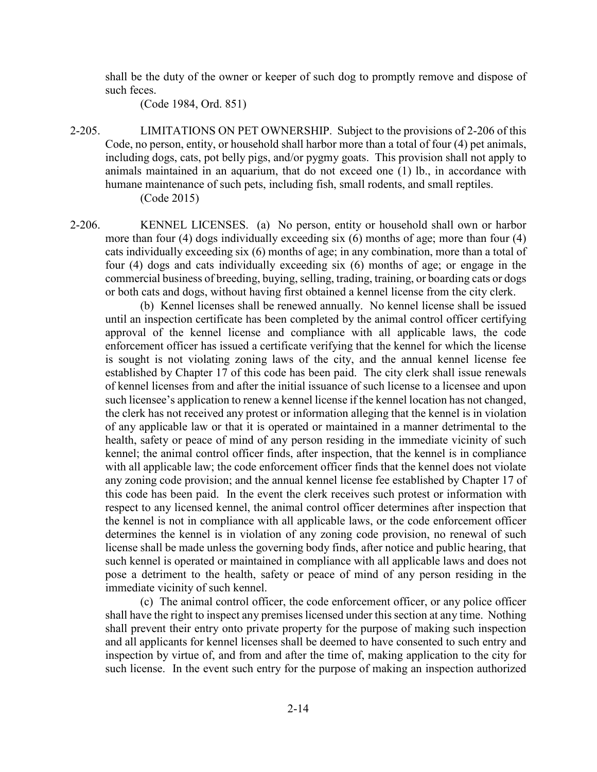shall be the duty of the owner or keeper of such dog to promptly remove and dispose of such feces.

(Code 1984, Ord. 851)

2-205. LIMITATIONS ON PET OWNERSHIP. Subject to the provisions of 2-206 of this Code, no person, entity, or household shall harbor more than a total of four (4) pet animals, including dogs, cats, pot belly pigs, and/or pygmy goats. This provision shall not apply to animals maintained in an aquarium, that do not exceed one (1) lb., in accordance with humane maintenance of such pets, including fish, small rodents, and small reptiles. (Code 2015)

2-206. KENNEL LICENSES. (a) No person, entity or household shall own or harbor more than four (4) dogs individually exceeding six (6) months of age; more than four (4) cats individually exceeding six (6) months of age; in any combination, more than a total of four (4) dogs and cats individually exceeding six (6) months of age; or engage in the commercial business of breeding, buying, selling, trading, training, or boarding cats or dogs or both cats and dogs, without having first obtained a kennel license from the city clerk.

(b) Kennel licenses shall be renewed annually. No kennel license shall be issued until an inspection certificate has been completed by the animal control officer certifying approval of the kennel license and compliance with all applicable laws, the code enforcement officer has issued a certificate verifying that the kennel for which the license is sought is not violating zoning laws of the city, and the annual kennel license fee established by Chapter 17 of this code has been paid. The city clerk shall issue renewals of kennel licenses from and after the initial issuance of such license to a licensee and upon such licensee's application to renew a kennel license if the kennel location has not changed, the clerk has not received any protest or information alleging that the kennel is in violation of any applicable law or that it is operated or maintained in a manner detrimental to the health, safety or peace of mind of any person residing in the immediate vicinity of such kennel; the animal control officer finds, after inspection, that the kennel is in compliance with all applicable law; the code enforcement officer finds that the kennel does not violate any zoning code provision; and the annual kennel license fee established by Chapter 17 of this code has been paid. In the event the clerk receives such protest or information with respect to any licensed kennel, the animal control officer determines after inspection that the kennel is not in compliance with all applicable laws, or the code enforcement officer determines the kennel is in violation of any zoning code provision, no renewal of such license shall be made unless the governing body finds, after notice and public hearing, that such kennel is operated or maintained in compliance with all applicable laws and does not pose a detriment to the health, safety or peace of mind of any person residing in the immediate vicinity of such kennel.

(c) The animal control officer, the code enforcement officer, or any police officer shall have the right to inspect any premises licensed under this section at any time. Nothing shall prevent their entry onto private property for the purpose of making such inspection and all applicants for kennel licenses shall be deemed to have consented to such entry and inspection by virtue of, and from and after the time of, making application to the city for such license. In the event such entry for the purpose of making an inspection authorized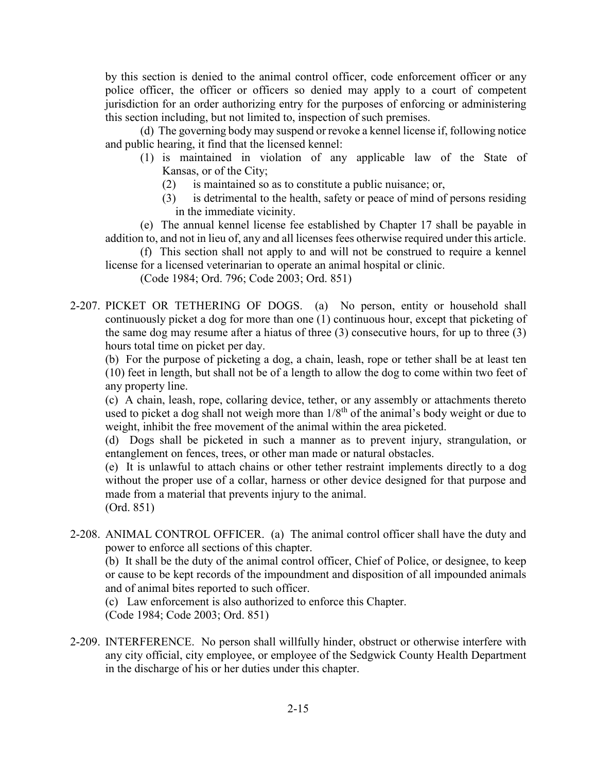by this section is denied to the animal control officer, code enforcement officer or any police officer, the officer or officers so denied may apply to a court of competent jurisdiction for an order authorizing entry for the purposes of enforcing or administering this section including, but not limited to, inspection of such premises.

(d) The governing body may suspend or revoke a kennel license if, following notice and public hearing, it find that the licensed kennel:

- (1) is maintained in violation of any applicable law of the State of Kansas, or of the City;
	- (2) is maintained so as to constitute a public nuisance; or,
	- (3) is detrimental to the health, safety or peace of mind of persons residing in the immediate vicinity.

(e) The annual kennel license fee established by Chapter 17 shall be payable in addition to, and not in lieu of, any and all licenses fees otherwise required under this article.

(f) This section shall not apply to and will not be construed to require a kennel license for a licensed veterinarian to operate an animal hospital or clinic.

(Code 1984; Ord. 796; Code 2003; Ord. 851)

2-207. PICKET OR TETHERING OF DOGS. (a) No person, entity or household shall continuously picket a dog for more than one (1) continuous hour, except that picketing of the same dog may resume after a hiatus of three (3) consecutive hours, for up to three (3) hours total time on picket per day.

(b) For the purpose of picketing a dog, a chain, leash, rope or tether shall be at least ten (10) feet in length, but shall not be of a length to allow the dog to come within two feet of any property line.

(c) A chain, leash, rope, collaring device, tether, or any assembly or attachments thereto used to picket a dog shall not weigh more than  $1/8<sup>th</sup>$  of the animal's body weight or due to weight, inhibit the free movement of the animal within the area picketed.

(d) Dogs shall be picketed in such a manner as to prevent injury, strangulation, or entanglement on fences, trees, or other man made or natural obstacles.

(e) It is unlawful to attach chains or other tether restraint implements directly to a dog without the proper use of a collar, harness or other device designed for that purpose and made from a material that prevents injury to the animal. (Ord. 851)

2-208. ANIMAL CONTROL OFFICER. (a) The animal control officer shall have the duty and power to enforce all sections of this chapter.

(b) It shall be the duty of the animal control officer, Chief of Police, or designee, to keep or cause to be kept records of the impoundment and disposition of all impounded animals and of animal bites reported to such officer.

(c) Law enforcement is also authorized to enforce this Chapter.

(Code 1984; Code 2003; Ord. 851)

2-209. INTERFERENCE. No person shall willfully hinder, obstruct or otherwise interfere with any city official, city employee, or employee of the Sedgwick County Health Department in the discharge of his or her duties under this chapter.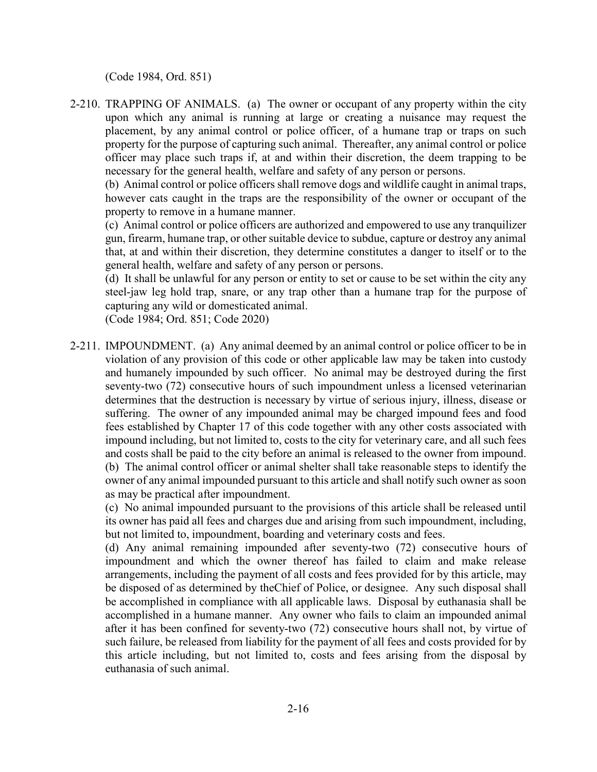(Code 1984, Ord. 851)

2-210. TRAPPING OF ANIMALS. (a) The owner or occupant of any property within the city upon which any animal is running at large or creating a nuisance may request the placement, by any animal control or police officer, of a humane trap or traps on such property for the purpose of capturing such animal. Thereafter, any animal control or police officer may place such traps if, at and within their discretion, the deem trapping to be necessary for the general health, welfare and safety of any person or persons.

(b) Animal control or police officers shall remove dogs and wildlife caught in animal traps, however cats caught in the traps are the responsibility of the owner or occupant of the property to remove in a humane manner.

(c) Animal control or police officers are authorized and empowered to use any tranquilizer gun, firearm, humane trap, or other suitable device to subdue, capture or destroy any animal that, at and within their discretion, they determine constitutes a danger to itself or to the general health, welfare and safety of any person or persons.

(d) It shall be unlawful for any person or entity to set or cause to be set within the city any steel-jaw leg hold trap, snare, or any trap other than a humane trap for the purpose of capturing any wild or domesticated animal.

(Code 1984; Ord. 851; Code 2020)

2-211. IMPOUNDMENT. (a) Any animal deemed by an animal control or police officer to be in violation of any provision of this code or other applicable law may be taken into custody and humanely impounded by such officer. No animal may be destroyed during the first seventy-two (72) consecutive hours of such impoundment unless a licensed veterinarian determines that the destruction is necessary by virtue of serious injury, illness, disease or suffering. The owner of any impounded animal may be charged impound fees and food fees established by Chapter 17 of this code together with any other costs associated with impound including, but not limited to, costs to the city for veterinary care, and all such fees and costs shall be paid to the city before an animal is released to the owner from impound. (b) The animal control officer or animal shelter shall take reasonable steps to identify the owner of any animal impounded pursuant to this article and shall notify such owner as soon as may be practical after impoundment.

(c) No animal impounded pursuant to the provisions of this article shall be released until its owner has paid all fees and charges due and arising from such impoundment, including, but not limited to, impoundment, boarding and veterinary costs and fees.

(d) Any animal remaining impounded after seventy-two (72) consecutive hours of impoundment and which the owner thereof has failed to claim and make release arrangements, including the payment of all costs and fees provided for by this article, may be disposed of as determined by theChief of Police, or designee. Any such disposal shall be accomplished in compliance with all applicable laws. Disposal by euthanasia shall be accomplished in a humane manner. Any owner who fails to claim an impounded animal after it has been confined for seventy-two (72) consecutive hours shall not, by virtue of such failure, be released from liability for the payment of all fees and costs provided for by this article including, but not limited to, costs and fees arising from the disposal by euthanasia of such animal.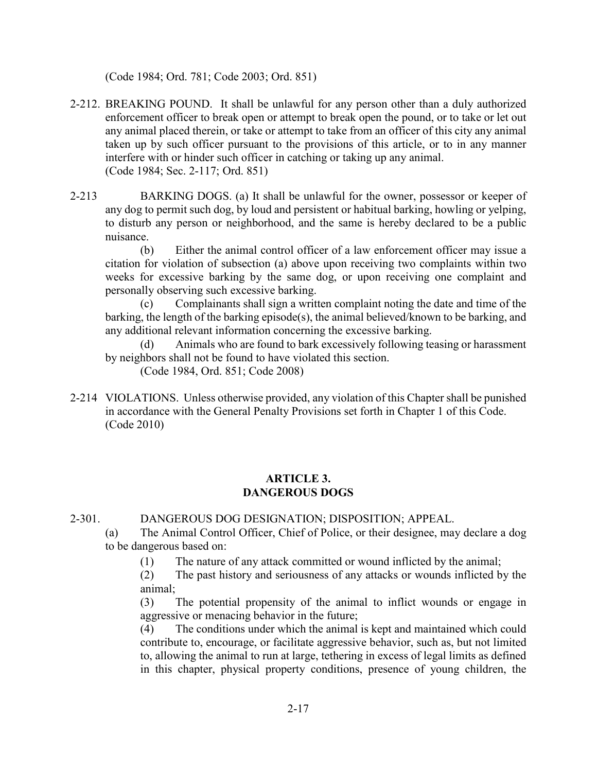(Code 1984; Ord. 781; Code 2003; Ord. 851)

- 2-212. BREAKING POUND. It shall be unlawful for any person other than a duly authorized enforcement officer to break open or attempt to break open the pound, or to take or let out any animal placed therein, or take or attempt to take from an officer of this city any animal taken up by such officer pursuant to the provisions of this article, or to in any manner interfere with or hinder such officer in catching or taking up any animal. (Code 1984; Sec. 2-117; Ord. 851)
- 2-213 BARKING DOGS. (a) It shall be unlawful for the owner, possessor or keeper of any dog to permit such dog, by loud and persistent or habitual barking, howling or yelping, to disturb any person or neighborhood, and the same is hereby declared to be a public nuisance.

(b) Either the animal control officer of a law enforcement officer may issue a citation for violation of subsection (a) above upon receiving two complaints within two weeks for excessive barking by the same dog, or upon receiving one complaint and personally observing such excessive barking.

Complainants shall sign a written complaint noting the date and time of the barking, the length of the barking episode(s), the animal believed/known to be barking, and any additional relevant information concerning the excessive barking.

Animals who are found to bark excessively following teasing or harassment by neighbors shall not be found to have violated this section.

(Code 1984, Ord. 851; Code 2008)

2-214 VIOLATIONS. Unless otherwise provided, any violation of this Chapter shall be punished in accordance with the General Penalty Provisions set forth in Chapter 1 of this Code. (Code 2010)

# **ARTICLE 3. DANGEROUS DOGS**

2-301. DANGEROUS DOG DESIGNATION; DISPOSITION; APPEAL.

(a) The Animal Control Officer, Chief of Police, or their designee, may declare a dog to be dangerous based on:

(1) The nature of any attack committed or wound inflicted by the animal;

(2) The past history and seriousness of any attacks or wounds inflicted by the animal;

(3) The potential propensity of the animal to inflict wounds or engage in aggressive or menacing behavior in the future;

(4) The conditions under which the animal is kept and maintained which could contribute to, encourage, or facilitate aggressive behavior, such as, but not limited to, allowing the animal to run at large, tethering in excess of legal limits as defined in this chapter, physical property conditions, presence of young children, the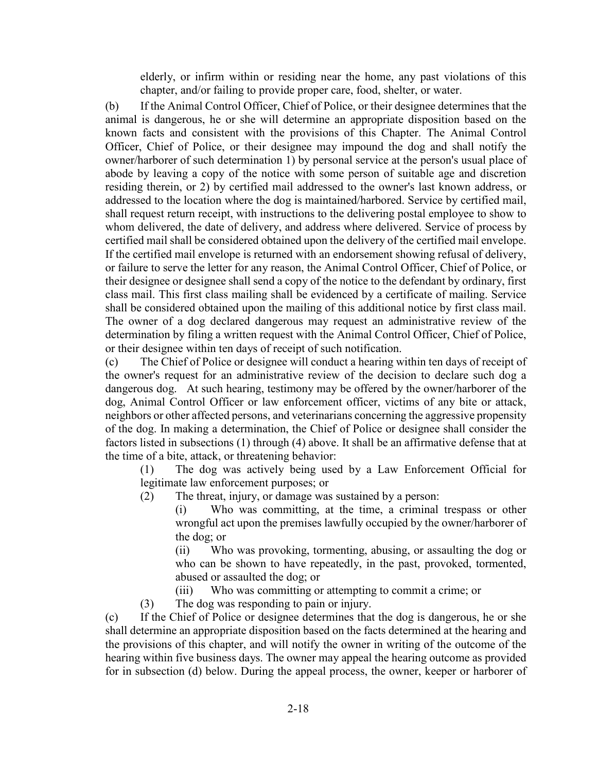elderly, or infirm within or residing near the home, any past violations of this chapter, and/or failing to provide proper care, food, shelter, or water.

(b) If the Animal Control Officer, Chief of Police, or their designee determines that the animal is dangerous, he or she will determine an appropriate disposition based on the known facts and consistent with the provisions of this Chapter. The Animal Control Officer, Chief of Police, or their designee may impound the dog and shall notify the owner/harborer of such determination 1) by personal service at the person's usual place of abode by leaving a copy of the notice with some person of suitable age and discretion residing therein, or 2) by certified mail addressed to the owner's last known address, or addressed to the location where the dog is maintained/harbored. Service by certified mail, shall request return receipt, with instructions to the delivering postal employee to show to whom delivered, the date of delivery, and address where delivered. Service of process by certified mail shall be considered obtained upon the delivery of the certified mail envelope. If the certified mail envelope is returned with an endorsement showing refusal of delivery, or failure to serve the letter for any reason, the Animal Control Officer, Chief of Police, or their designee or designee shall send a copy of the notice to the defendant by ordinary, first class mail. This first class mailing shall be evidenced by a certificate of mailing. Service shall be considered obtained upon the mailing of this additional notice by first class mail. The owner of a dog declared dangerous may request an administrative review of the determination by filing a written request with the Animal Control Officer, Chief of Police, or their designee within ten days of receipt of such notification.

(c) The Chief of Police or designee will conduct a hearing within ten days of receipt of the owner's request for an administrative review of the decision to declare such dog a dangerous dog. At such hearing, testimony may be offered by the owner/harborer of the dog, Animal Control Officer or law enforcement officer, victims of any bite or attack, neighbors or other affected persons, and veterinarians concerning the aggressive propensity of the dog. In making a determination, the Chief of Police or designee shall consider the factors listed in subsections (1) through (4) above. It shall be an affirmative defense that at the time of a bite, attack, or threatening behavior:

(1) The dog was actively being used by a Law Enforcement Official for legitimate law enforcement purposes; or

(2) The threat, injury, or damage was sustained by a person:

(i) Who was committing, at the time, a criminal trespass or other wrongful act upon the premises lawfully occupied by the owner/harborer of the dog; or

(ii) Who was provoking, tormenting, abusing, or assaulting the dog or who can be shown to have repeatedly, in the past, provoked, tormented, abused or assaulted the dog; or

(iii) Who was committing or attempting to commit a crime; or

(3) The dog was responding to pain or injury.

(c) If the Chief of Police or designee determines that the dog is dangerous, he or she shall determine an appropriate disposition based on the facts determined at the hearing and the provisions of this chapter, and will notify the owner in writing of the outcome of the hearing within five business days. The owner may appeal the hearing outcome as provided for in subsection (d) below. During the appeal process, the owner, keeper or harborer of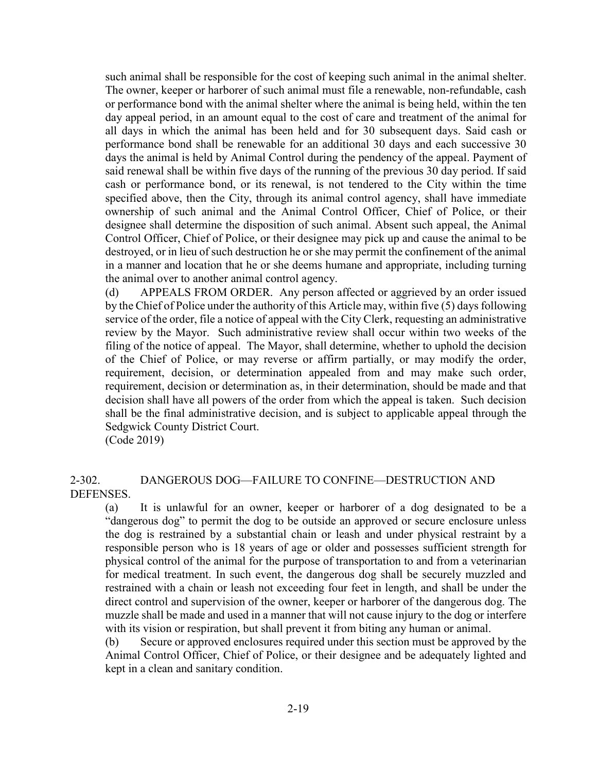such animal shall be responsible for the cost of keeping such animal in the animal shelter. The owner, keeper or harborer of such animal must file a renewable, non-refundable, cash or performance bond with the animal shelter where the animal is being held, within the ten day appeal period, in an amount equal to the cost of care and treatment of the animal for all days in which the animal has been held and for 30 subsequent days. Said cash or performance bond shall be renewable for an additional 30 days and each successive 30 days the animal is held by Animal Control during the pendency of the appeal. Payment of said renewal shall be within five days of the running of the previous 30 day period. If said cash or performance bond, or its renewal, is not tendered to the City within the time specified above, then the City, through its animal control agency, shall have immediate ownership of such animal and the Animal Control Officer, Chief of Police, or their designee shall determine the disposition of such animal. Absent such appeal, the Animal Control Officer, Chief of Police, or their designee may pick up and cause the animal to be destroyed, or in lieu of such destruction he or she may permit the confinement of the animal in a manner and location that he or she deems humane and appropriate, including turning the animal over to another animal control agency.

(d) APPEALS FROM ORDER. Any person affected or aggrieved by an order issued by the Chief of Police under the authority of this Article may, within five (5) days following service of the order, file a notice of appeal with the City Clerk, requesting an administrative review by the Mayor. Such administrative review shall occur within two weeks of the filing of the notice of appeal. The Mayor, shall determine, whether to uphold the decision of the Chief of Police, or may reverse or affirm partially, or may modify the order, requirement, decision, or determination appealed from and may make such order, requirement, decision or determination as, in their determination, should be made and that decision shall have all powers of the order from which the appeal is taken. Such decision shall be the final administrative decision, and is subject to applicable appeal through the Sedgwick County District Court.

(Code 2019)

2-302. DANGEROUS DOG—FAILURE TO CONFINE—DESTRUCTION AND DEFENSES.

(a) It is unlawful for an owner, keeper or harborer of a dog designated to be a "dangerous dog" to permit the dog to be outside an approved or secure enclosure unless the dog is restrained by a substantial chain or leash and under physical restraint by a responsible person who is 18 years of age or older and possesses sufficient strength for physical control of the animal for the purpose of transportation to and from a veterinarian for medical treatment. In such event, the dangerous dog shall be securely muzzled and restrained with a chain or leash not exceeding four feet in length, and shall be under the direct control and supervision of the owner, keeper or harborer of the dangerous dog. The muzzle shall be made and used in a manner that will not cause injury to the dog or interfere with its vision or respiration, but shall prevent it from biting any human or animal.

(b) Secure or approved enclosures required under this section must be approved by the Animal Control Officer, Chief of Police, or their designee and be adequately lighted and kept in a clean and sanitary condition.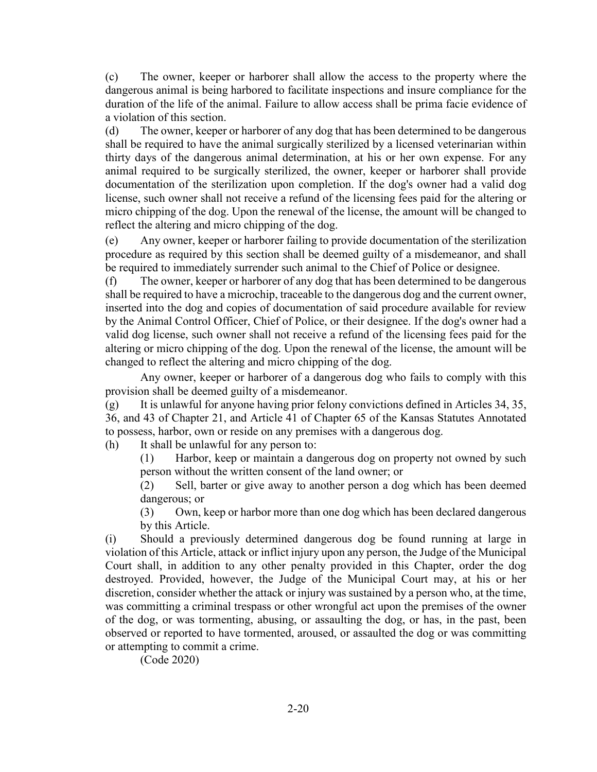(c) The owner, keeper or harborer shall allow the access to the property where the dangerous animal is being harbored to facilitate inspections and insure compliance for the duration of the life of the animal. Failure to allow access shall be prima facie evidence of a violation of this section.

(d) The owner, keeper or harborer of any dog that has been determined to be dangerous shall be required to have the animal surgically sterilized by a licensed veterinarian within thirty days of the dangerous animal determination, at his or her own expense. For any animal required to be surgically sterilized, the owner, keeper or harborer shall provide documentation of the sterilization upon completion. If the dog's owner had a valid dog license, such owner shall not receive a refund of the licensing fees paid for the altering or micro chipping of the dog. Upon the renewal of the license, the amount will be changed to reflect the altering and micro chipping of the dog.

(e) Any owner, keeper or harborer failing to provide documentation of the sterilization procedure as required by this section shall be deemed guilty of a misdemeanor, and shall be required to immediately surrender such animal to the Chief of Police or designee.

(f) The owner, keeper or harborer of any dog that has been determined to be dangerous shall be required to have a microchip, traceable to the dangerous dog and the current owner, inserted into the dog and copies of documentation of said procedure available for review by the Animal Control Officer, Chief of Police, or their designee. If the dog's owner had a valid dog license, such owner shall not receive a refund of the licensing fees paid for the altering or micro chipping of the dog. Upon the renewal of the license, the amount will be changed to reflect the altering and micro chipping of the dog.

Any owner, keeper or harborer of a dangerous dog who fails to comply with this provision shall be deemed guilty of a misdemeanor.

(g) It is unlawful for anyone having prior felony convictions defined in Articles 34, 35, 36, and 43 of Chapter 21, and Article 41 of Chapter 65 of the Kansas Statutes Annotated to possess, harbor, own or reside on any premises with a dangerous dog.

(h) It shall be unlawful for any person to:

(1) Harbor, keep or maintain a dangerous dog on property not owned by such person without the written consent of the land owner; or

(2) Sell, barter or give away to another person a dog which has been deemed dangerous; or

(3) Own, keep or harbor more than one dog which has been declared dangerous by this Article.

(i) Should a previously determined dangerous dog be found running at large in violation of this Article, attack or inflict injury upon any person, the Judge of the Municipal Court shall, in addition to any other penalty provided in this Chapter, order the dog destroyed. Provided, however, the Judge of the Municipal Court may, at his or her discretion, consider whether the attack or injury was sustained by a person who, at the time, was committing a criminal trespass or other wrongful act upon the premises of the owner of the dog, or was tormenting, abusing, or assaulting the dog, or has, in the past, been observed or reported to have tormented, aroused, or assaulted the dog or was committing or attempting to commit a crime.

(Code 2020)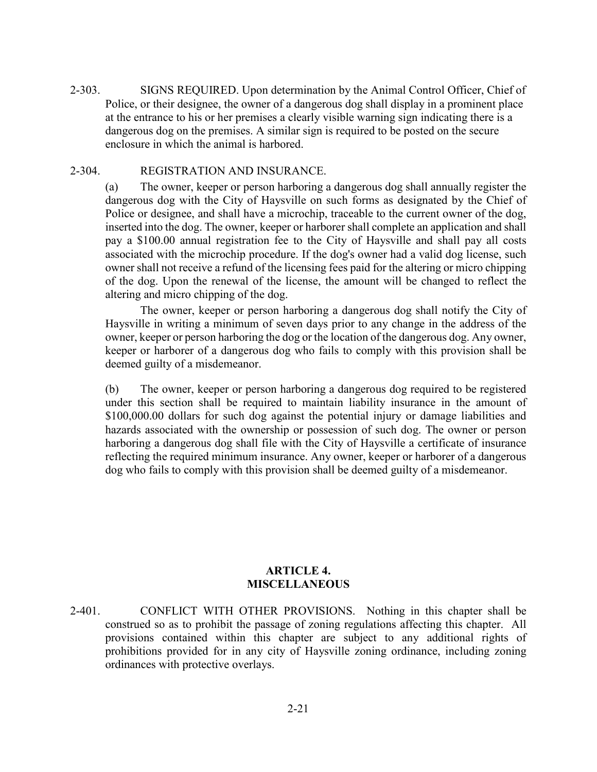2-303. SIGNS REQUIRED. Upon determination by the Animal Control Officer, Chief of Police, or their designee, the owner of a dangerous dog shall display in a prominent place at the entrance to his or her premises a clearly visible warning sign indicating there is a dangerous dog on the premises. A similar sign is required to be posted on the secure enclosure in which the animal is harbored.

#### 2-304. REGISTRATION AND INSURANCE.

(a) The owner, keeper or person harboring a dangerous dog shall annually register the dangerous dog with the City of Haysville on such forms as designated by the Chief of Police or designee, and shall have a microchip, traceable to the current owner of the dog, inserted into the dog. The owner, keeper or harborer shall complete an application and shall pay a \$100.00 annual registration fee to the City of Haysville and shall pay all costs associated with the microchip procedure. If the dog's owner had a valid dog license, such owner shall not receive a refund of the licensing fees paid for the altering or micro chipping of the dog. Upon the renewal of the license, the amount will be changed to reflect the altering and micro chipping of the dog.

The owner, keeper or person harboring a dangerous dog shall notify the City of Haysville in writing a minimum of seven days prior to any change in the address of the owner, keeper or person harboring the dog or the location of the dangerous dog. Any owner, keeper or harborer of a dangerous dog who fails to comply with this provision shall be deemed guilty of a misdemeanor.

(b) The owner, keeper or person harboring a dangerous dog required to be registered under this section shall be required to maintain liability insurance in the amount of \$100,000.00 dollars for such dog against the potential injury or damage liabilities and hazards associated with the ownership or possession of such dog. The owner or person harboring a dangerous dog shall file with the City of Haysville a certificate of insurance reflecting the required minimum insurance. Any owner, keeper or harborer of a dangerous dog who fails to comply with this provision shall be deemed guilty of a misdemeanor.

# **ARTICLE 4. MISCELLANEOUS**

2-401. CONFLICT WITH OTHER PROVISIONS. Nothing in this chapter shall be construed so as to prohibit the passage of zoning regulations affecting this chapter. All provisions contained within this chapter are subject to any additional rights of prohibitions provided for in any city of Haysville zoning ordinance, including zoning ordinances with protective overlays.